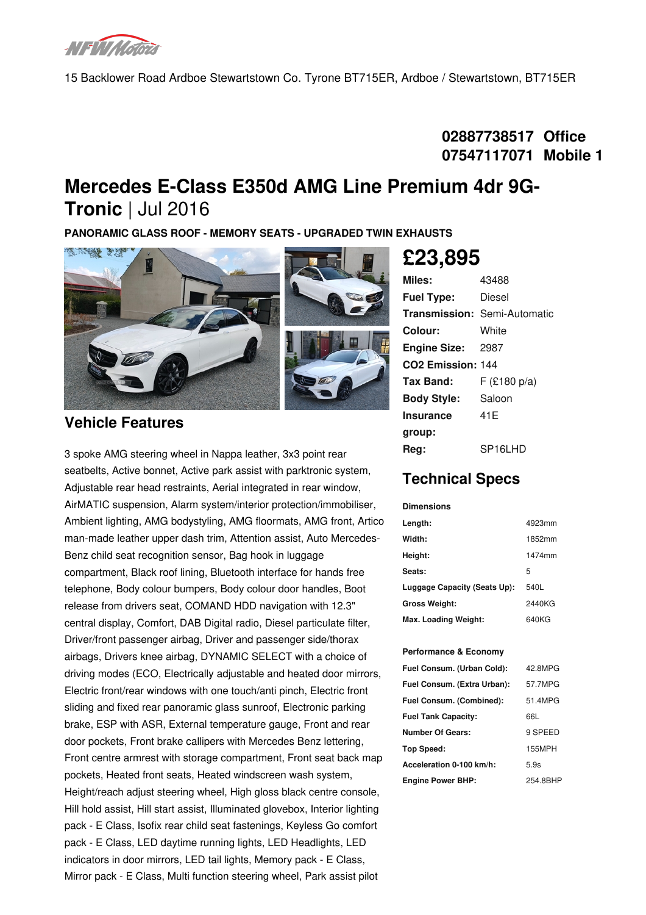

15 Backlower Road Ardboe Stewartstown Co. Tyrone BT715ER, Ardboe / Stewartstown, BT715ER

# **02887738517 Office 07547117071 Mobile 1**

# **Mercedes E-Class E350d AMG Line Premium 4dr 9G- Tronic** | Jul 2016

**PANORAMIC GLASS ROOF - MEMORY SEATS - UPGRADED TWIN EXHAUSTS**



### **Vehicle Features**

3 spoke AMG steering wheel in Nappa leather, 3x3 point rear seatbelts, Active bonnet, Active park assist with parktronic system, Adjustable rear head restraints, Aerial integrated in rear window, AirMATIC suspension, Alarm system/interior protection/immobiliser, Ambient lighting, AMG bodystyling, AMG floormats, AMG front, Artico man-made leather upper dash trim, Attention assist, Auto Mercedes- Benz child seat recognition sensor, Bag hook in luggage compartment, Black roof lining, Bluetooth interface for hands free telephone, Body colour bumpers, Body colour door handles, Boot release from drivers seat, COMAND HDD navigation with 12.3" central display, Comfort, DAB Digital radio, Diesel particulate filter, Driver/front passenger airbag, Driver and passenger side/thorax airbags, Drivers knee airbag, DYNAMIC SELECT with a choice of driving modes (ECO, Electrically adjustable and heated door mirrors, Electric front/rear windows with one touch/anti pinch, Electric front sliding and fixed rear panoramic glass sunroof, Electronic parking brake, ESP with ASR, External temperature gauge, Front and rear door pockets, Front brake callipers with Mercedes Benz lettering, Front centre armrest with storage compartment, Front seat back map pockets, Heated front seats, Heated windscreen wash system, Height/reach adjust steering wheel, High gloss black centre console, Hill hold assist, Hill start assist, Illuminated glovebox, Interior lighting pack - E Class, Isofix rear child seat fastenings, Keyless Go comfort pack - E Class, LED daytime running lights, LED Headlights, LED indicators in door mirrors, LED tail lights, Memory pack - E Class, Mirror pack -E Class, Multi function steering wheel, Park assist pilot

### **Miles:** 43488 **Fuel Type:** Diesel **Transmission:** Semi-Automatic **Colour:** White **Engine Size:** 2987 **CO2 Emission:** 144 **Tax Band:** F (£180 p/a) **Body Style:** Saloon **Insurance group:** 41E **Reg:** SP16LHD **£23,895**

# **Technical Specs**

#### **Dimensions**

| Length:                      | 4923mm |
|------------------------------|--------|
| Width:                       | 1852mm |
| Height:                      | 1474mm |
| Seats:                       | 5      |
| Luggage Capacity (Seats Up): | 540L   |
| <b>Gross Weight:</b>         | 2440KG |
| Max. Loading Weight:         | 640KG  |

#### **Performance & Economy**

| Fuel Consum. (Urban Cold):  | 42.8MPG  |
|-----------------------------|----------|
| Fuel Consum. (Extra Urban): | 57.7MPG  |
| Fuel Consum. (Combined):    | 51.4MPG  |
| <b>Fuel Tank Capacity:</b>  | 66L      |
| Number Of Gears:            | 9 SPEED  |
| Top Speed:                  | 155MPH   |
| Acceleration 0-100 km/h:    | 5.9s     |
| <b>Engine Power BHP:</b>    | 254.8BHP |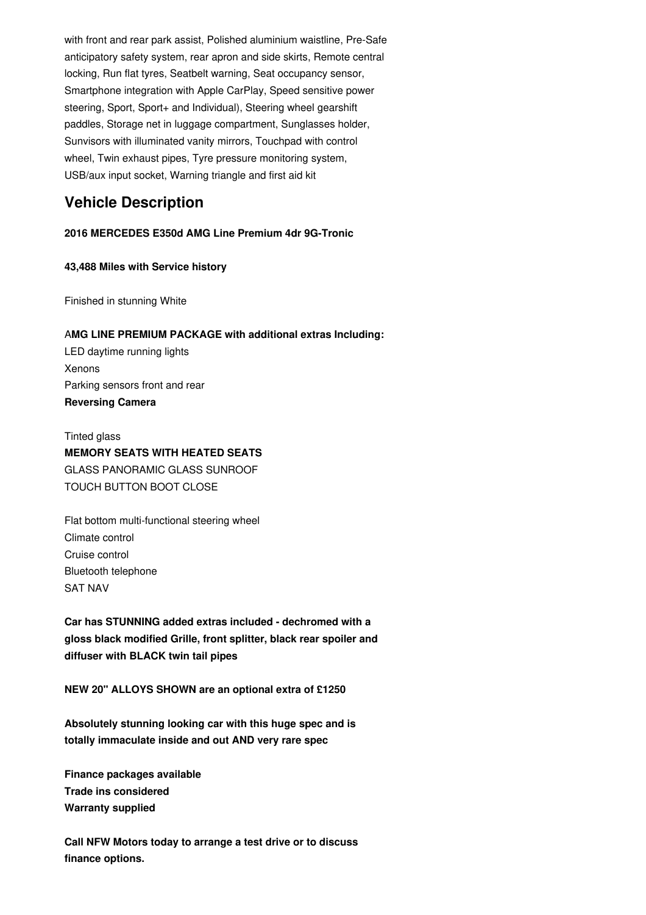with front and rear park assist, Polished aluminium waistline, Pre-Safe anticipatory safety system, rear apron and side skirts, Remote central locking, Run flat tyres, Seatbelt warning, Seat occupancy sensor, Smartphone integration with Apple CarPlay, Speed sensitive power steering, Sport, Sport+ and Individual), Steering wheel gearshift paddles, Storage net in luggage compartment, Sunglasses holder, Sunvisors with illuminated vanity mirrors, Touchpad with control wheel, Twin exhaust pipes, Tyre pressure monitoring system, USB/aux input socket, Warning triangle and first aid kit

# **Vehicle Description**

**2016 MERCEDES E350d AMG Line Premium 4dr 9G-Tronic**

#### **43,488 Miles with Service history**

Finished in stunning White

### A**MG LINE PREMIUM PACKAGE with additional extras Including:** LED daytime running lights Xenons Parking sensors front and rear

**Reversing Camera**

Tinted glass **MEMORY SEATS WITH HEATED SEATS** GLASS PANORAMIC GLASS SUNROOF TOUCH BUTTON BOOT CLOSE

Flat bottom multi-functional steering wheel Climate control Cruise control Bluetooth telephone SAT NAV

**Car has STUNNING added extras included - dechromed with a gloss black modified Grille, front splitter, black rear spoiler and diffuser with BLACK twin tail pipes**

**NEW 20" ALLOYS SHOWN are an optional extra of £1250**

**Absolutely stunning looking car with this huge spec and is totally immaculate inside and out AND very rare spec**

**Finance packages available Trade ins considered Warranty supplied**

**Call NFW Motors today to arrange a test drive or to discuss finance options.**